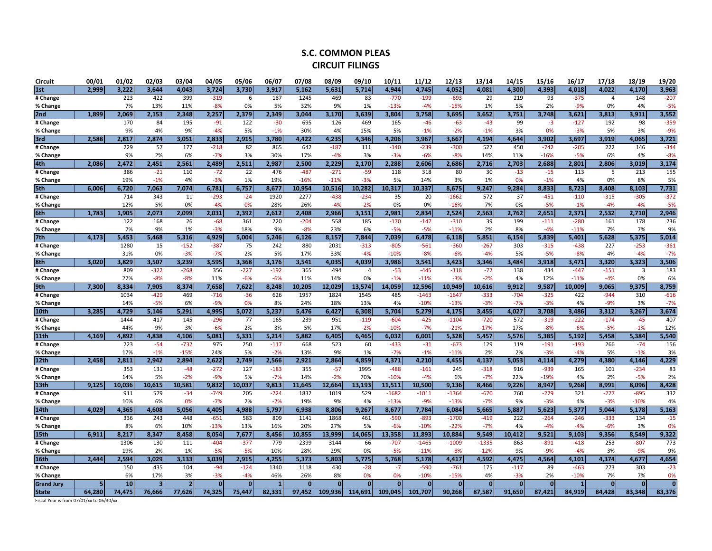## **S.C. COMMON PLEAS CIRCUIT FILINGS**

| <b>Circuit</b>                           | 00/01  | 01/02  | 02/03                   | 03/04          | 04/05    | 05/06        | 06/07          | 07/08    | 08/09    | 09/10          | 10/11   | 11/12   | 12/13    | 13/14        | 14/15    | 15/16        | 16/17  | 17/18          | 18/19                   | 19/20          |
|------------------------------------------|--------|--------|-------------------------|----------------|----------|--------------|----------------|----------|----------|----------------|---------|---------|----------|--------------|----------|--------------|--------|----------------|-------------------------|----------------|
| 1st                                      | 2,999  | 3.222  | 3,644                   | 4,043          | 3.724    | 3,730        | 3,917          | 5,162    | 5,631    | 5,714          | 4,944   | 4.745   | 4,052    | 4,081        | 4.300    | 4,393        | 4,018  | 4.022          | 4,170                   | 3,963          |
| # Change                                 |        | 223    | 422                     | 399            | $-319$   | 6            | 187            | 1245     | 469      | 83             | $-770$  | $-199$  | $-693$   | 29           | 219      | 93           | $-375$ | $\overline{4}$ | 148                     | $-207$         |
| % Change                                 |        | 7%     | 13%                     | 11%            | $-8%$    | 0%           | 5%             | 32%      | 9%       | 1%             | $-13%$  | $-4%$   | $-15%$   | 1%           | 5%       | 2%           | $-9%$  | 0%             | 4%                      | $-5%$          |
| 2nd                                      | 1,899  | 2,069  | 2,153                   | 2,348          | 2,257    | 2,379        | 2,349          | 3,044    | 3,170    | 3,639          | 3,804   | 3,758   | 3,695    | 3,652        | 3,751    | 3,748        | 3,621  | 3,813          | 3,911                   | 3,552          |
| # Change                                 |        | 170    | 84                      | 195            | $-91$    | 122          | $-30$          | 695      | 126      | 469            | 165     | $-46$   | $-63$    | $-43$        | 99       | $-3$         | $-127$ | 192            | 98                      | $-359$         |
| % Change                                 |        | 9%     | 4%                      | 9%             | $-4%$    | 5%           | $-1%$          | 30%      | 4%       | 15%            | 5%      | $-1%$   | $-2%$    | $-1%$        | 3%       | 0%           | $-3%$  | 5%             | 3%                      | $-9%$          |
| 3rd                                      | 2,588  | 2,817  | 2,874                   | 3,051          | 2,833    | 2,915        | 3,780          | 4,422    | 4,235    | 4,346          | 4,206   | 3,967   | 3,667    | 4,194        | 4,644    | 3,902        | 3,697  | 3,919          | 4,065                   | 3,721          |
| # Change                                 |        | 229    | 57                      | 177            | $-218$   | 82           | 865            | 642      | $-187$   | 111            | $-140$  | $-239$  | $-300$   | 527          | 450      | $-742$       | $-205$ | 222            | 146                     | $-344$         |
| % Change                                 |        | 9%     | 2%                      | 6%             | $-7%$    | 3%           | 30%            | 17%      | $-4%$    | 3%             | $-3%$   | $-6%$   | $-8%$    | 14%          | 11%      | $-16%$       | $-5%$  | 6%             | 4%                      | $-8%$          |
| 4th                                      | 2,086  | 2,472  | 2,451                   | 2,561          | 2,489    | 2,511        | 2,987          | 2,500    | 2,229    | 2,170          | 2,288   | 2,606   | 2,686    | 2,716        | 2,703    | 2,688        | 2,801  | 2,806          | 3,019                   | 3,174          |
| # Change                                 |        | 386    | $-21$                   | 110            | $-72$    | 22           | 476            | $-487$   | $-271$   | $-59$          | 118     | 318     | 80       | 30           | $-13$    | $-15$        | 113    | 5              | 213                     | 155            |
| % Change                                 |        | 19%    | $-1%$                   | 4%             | $-3%$    | 1%           | 19%            | $-16%$   | $-11%$   | $-3%$          | 5%      | 14%     | 3%       | 1%           | 0%       | $-1%$        | 4%     | 0%             | 8%                      | 5%             |
| 5th                                      | 6,006  | 6,720  | 7,063                   | 7,074          | 6,781    | 6,757        | 8,677          | 10,954   | 10,516   | 10,282         | 10,317  | 10,337  | 8,675    | 9,247        | 9,284    | 8,833        | 8,723  | 8,408          | 8,103                   | 7,731          |
| # Change                                 |        | 714    | 343                     | 11             | $-293$   | $-24$        | 1920           | 2277     | $-438$   | $-234$         | 35      | 20      | $-1662$  | 572          | 37       | $-451$       | $-110$ | $-315$         | $-305$                  | $-372$         |
| % Change                                 |        | 12%    | 5%                      | 0%             | $-4%$    | 0%           | 28%            | 26%      | $-4%$    | $-2%$          | 0%      | 0%      | $-16%$   | 7%           | 0%       | $-5%$        | $-1%$  | $-4%$          | $-4%$                   | $-5%$          |
| 6th                                      | 1.783  | 1,905  | 2,073                   | 2,099          | 2,031    | 2,392        | 2,612          | 2,408    | 2,966    | 3,151          | 2,981   | 2,834   | 2,524    | 2,563        | 2,762    | 2,651        | 2,371  | 2,532          | 2,710                   | 2,946          |
| # Change                                 |        | 122    | 168                     | 26             | $-68$    | 361          | 220            | $-204$   | 558      | 185            | $-170$  | $-147$  | $-310$   | 39           | 199      | $-111$       | $-280$ | 161            | 178                     | 236            |
| % Change                                 |        | 7%     | 9%                      | 1%             | $-3%$    | 18%          | 9%             | $-8%$    | 23%      | 6%             | $-5%$   | $-5%$   | $-11%$   | 2%           | 8%       | $-4%$        | $-11%$ | 7%             | 7%                      | 9%             |
| 7 <sub>th</sub>                          | 4,173  | 5,453  | 5,468                   | 5,316          | 4,929    | 5,004        | 5,246          | 6.126    | 8,157    | 7,844          | 7,039   | 6,478   | 6,118    | 5,851        | 6,154    | 5,839        | 5,401  | 5,628          | 5,375                   | 5,014          |
| # Change                                 |        | 1280   | 15                      | $-152$         | $-387$   | 75           | 242            | 880      | 2031     | $-313$         | $-805$  | $-561$  | $-360$   | $-267$       | 303      | $-315$       | $-438$ | 227            | $-253$                  | $-361$         |
| % Change                                 |        | 31%    | 0%                      | $-3%$          | $-7%$    | 2%           | 5%             | 17%      | 33%      | $-4%$          | $-10%$  | $-8%$   | $-6%$    | $-4%$        | 5%       | $-5%$        | $-8%$  | 4%             | $-4%$                   | $-7%$          |
| 8th                                      | 3,020  | 3,829  | 3,507                   | 3,239          | 3,595    | 3,368        | 3,176          | 3,541    | 4,035    | 4,039          | 3,986   | 3,541   | 3,423    | 3,346        | 3,484    | 3,918        | 3,471  | 3,320          | 3,323                   | 3,506          |
| # Change                                 |        | 809    | $-322$                  | $-268$         | 356      | $-227$       | $-192$         | 365      | 494      | $\overline{a}$ | $-53$   | $-445$  | $-118$   | $-77$        | 138      | 434          | $-447$ | $-151$         | $\overline{\mathbf{3}}$ | 183            |
| % Change                                 |        | 27%    | $-8%$                   | $-8%$          | 11%      | $-6%$        | $-6%$          | 11%      | 14%      | 0%             | $-1%$   | $-11%$  | $-3%$    | $-2%$        | 4%       | 12%          | $-11%$ | $-4%$          | 0%                      | 6%             |
| 9th                                      | 7.300  | 8.334  | 7,905                   | 8,374          | 7,658    | 7,622        | 8,248          | 10,205   | 12.029   | 13,574         | 14,059  | 12,596  | 10,949   | 10,616       | 9,912    | 9,587        | 10,009 | 9,065          | 9,375                   | 8,759          |
| # Change                                 |        | 1034   | $-429$                  | 469            | $-716$   | $-36$        | 626            | 1957     | 1824     | 1545           | 485     | $-1463$ | $-1647$  | $-333$       | $-704$   | $-325$       | 422    | $-944$         | 310                     | $-616$         |
| % Change                                 |        | 14%    | $-5%$                   | 6%             | $-9%$    | 0%           | 8%             | 24%      | 18%      | 13%            | 4%      | $-10%$  | $-13%$   | $-3%$        | $-7%$    | $-3%$        | 4%     | $-9%$          | 3%                      | $-7%$          |
| 10th                                     | 3,285  | 4,729  | 5,146                   | 5,291          | 4,995    | 5,072        | 5,237          | 5,476    | 6,427    | 6,308          | 5,704   | 5,279   | 4.175    | 3,455        | 4,027    | 3,708        | 3,486  | 3,312          | 3,267                   | 3,674          |
| # Change                                 |        | 1444   | 417                     | 145            | $-296$   | 77           | 165            | 239      | 951      | $-119$         | $-604$  | $-425$  | $-1104$  | $-720$       | 572      | $-319$       | $-222$ | $-174$         | $-45$                   | 407            |
| % Change                                 |        | 44%    | 9%                      | 3%             | $-6%$    | 2%           | 3%             | 5%       | 17%      | $-2%$          | $-10%$  | $-7%$   | $-21%$   | $-17%$       | 17%      | $-8%$        | $-6%$  | $-5%$          | $-1%$                   | 12%            |
| 11th                                     | 4,169  | 4,892  | 4,838                   | 4,106          | 5,081    | 5,331        | 5,214          | 5,882    | 6,405    | 6,465          | 6,032   | 6,001   | 5,328    | 5,457        | 5,576    | 5,385        | 5,192  | 5,458          | 5,384                   | 5,540          |
| # Change                                 |        | 723    | $-54$                   | $-732$         | 975      | 250          | $-117$         | 668      | 523      | 60             | $-433$  | $-31$   | $-673$   | 129          | 119      | $-191$       | $-193$ | 266            | $-74$                   | 156            |
| % Change                                 |        | 17%    | $-1%$                   | $-15%$         | 24%      | 5%           | $-2%$          | 13%      | 9%       | 1%             | $-7%$   | $-1%$   | $-11%$   | 2%           | 2%       | $-3%$        | $-4%$  | 5%             | $-1%$                   | 3%             |
| 12 <sub>th</sub>                         | 2.458  | 2.811  | 2,942                   | 2,894          | 2.622    | 2.749        | 2,566          | 2.921    | 2,864    | 4,859          | 4,371   | 4.210   | 4,455    | 4,137        | 5,053    | 4,114        | 4,279  | 4,380          | 4,146                   | 4,229          |
| # Change                                 |        | 353    | 131                     | $-48$          | $-272$   | 127          | $-183$         | 355      | $-57$    | 1995           | $-488$  | $-161$  | 245      | $-318$       | 916      | $-939$       | 165    | 101            | $-234$                  | 83             |
| % Change                                 |        | 14%    | 5%                      | $-2%$          | $-9%$    | 5%           | $-7%$          | 14%      | $-2%$    | 70%            | $-10%$  | $-4%$   | 6%       | $-7%$        | 22%      | $-19%$       | 4%     | 2%             | $-5%$                   | 2%             |
| 13 <sub>th</sub>                         | 9.125  | 10.036 | 10,615                  | 10,581         | 9.832    | 10.037       | 9,813          | 11,645   | 12,664   | 13,193         | 11,511  | 10.500  | 9.136    | 8,466        | 9.226    | 8,947        | 9,268  | 8,991          | 8,096                   | 8,428          |
| # Change                                 |        | 911    | 579                     | $-34$          | $-749$   | 205          | $-224$         | 1832     | 1019     | 529            | $-1682$ | $-1011$ | $-1364$  | $-670$       | 760      | $-279$       | 321    | $-277$         | $-895$                  | 332            |
| % Change                                 |        | 10%    | 6%                      | 0%             | $-7%$    | 2%           | $-2%$          | 19%      | 9%       | 4%             | $-13%$  | $-9%$   | $-13%$   | $-7%$        | 9%       | $-3%$        | 4%     | $-3%$          | $-10%$                  | 4%             |
| 14th                                     | 4,029  | 4,365  | 4,608                   | 5,056          | 4,405    | 4,988        | 5,797          | 6,938    | 8,806    | 9,267          | 8,677   | 7,784   | 6,084    | 5,665        | 5,887    | 5,623        | 5,377  | 5,044          | 5,178                   | 5,163          |
| # Change                                 |        | 336    | 243                     | 448            | $-651$   | 583          | 809            | 1141     | 1868     | 461            | $-590$  | $-893$  | $-1700$  | $-419$       | 222      | $-264$       | $-246$ | $-333$         | 134                     | $-15$          |
| % Change                                 |        | 8%     | 6%                      | 10%            | $-13%$   | 13%          | 16%            | 20%      | 27%      | 5%             | $-6%$   | $-10%$  | $-22%$   | $-7%$        | 4%       | $-4%$        | $-4%$  | $-6%$          | 3%                      | 0%             |
| 15th                                     | 6,911  | 8,217  | 8,347                   | 8,458          | 8,054    | 7,677        | 8,456          | 10,855   | 13,999   | 14,065         | 13,358  | 11,893  | 10,884   | 9,549        | 10,412   | 9,521        | 9,103  | 9,356          | 8,549                   | 9,322          |
| # Change                                 |        | 1306   | 130                     | 111            | $-404$   | $-377$       | 779            | 2399     | 3144     | 66             | $-707$  | $-1465$ | $-1009$  | $-1335$      | 863      | $-891$       | $-418$ | 253            | $-807$                  | 773            |
| % Change                                 |        | 19%    | 2%                      | 1%             | $-5%$    | $-5%$        | 10%            | 28%      | 29%      | 0%             | $-5%$   | $-11%$  | $-8%$    | $-12%$       | 9%       | $-9%$        | $-4%$  | 3%             | $-9%$                   | 9%             |
| 16th                                     | 2.444  | 2.594  | 3.029                   | 3.133          | 3,039    | 2,915        | 4,255          | 5,373    | 5,803    | 5.775          | 5,768   | 5.178   | 4,417    | 4,592        | 4,475    | 4,564        | 4.101  | 4,374          | 4,677                   | 4,654          |
| # Change                                 |        | 150    | 435                     | 104            | $-94$    | $-124$       | 1340           | 1118     | 430      | $-28$          | $-7$    | $-590$  | $-761$   | 175          | $-117$   | 89           | $-463$ | 273            | 303                     | $-23$          |
| % Change                                 |        | 6%     | 17%                     | 3%             | $-3%$    | $-4%$        | 46%            | 26%      | 8%       | 0%             | 0%      | $-10%$  | $-15%$   | 4%           | $-3%$    | 2%           | $-10%$ | 7%             | 7%                      | 0%             |
| <b>Grand Jury</b>                        | 5      | 10     | $\overline{\mathbf{3}}$ | $\overline{2}$ | $\Omega$ | $\mathbf{0}$ | $\overline{1}$ | $\Omega$ | $\Omega$ | $\Omega$       | Ō       | Ō       | $\Omega$ | $\mathbf{0}$ | $\Omega$ | $\mathbf{0}$ |        | $\Omega$       | $\Omega$                | $\overline{0}$ |
| <b>State</b>                             | 64,280 | 74.475 | 76,666                  | 77.626         | 74.325   | 75,447       | 82.331         | 97.452   | 109.936  | 114,691        | 109.045 | 101.707 | 90,268   | 87,587       | 91,650   | 87,421       | 84,919 | 84,428         | 83,348                  | 83,376         |
| Fiscal Year is from 07/01/xx to 06/30/xx |        |        |                         |                |          |              |                |          |          |                |         |         |          |              |          |              |        |                |                         |                |